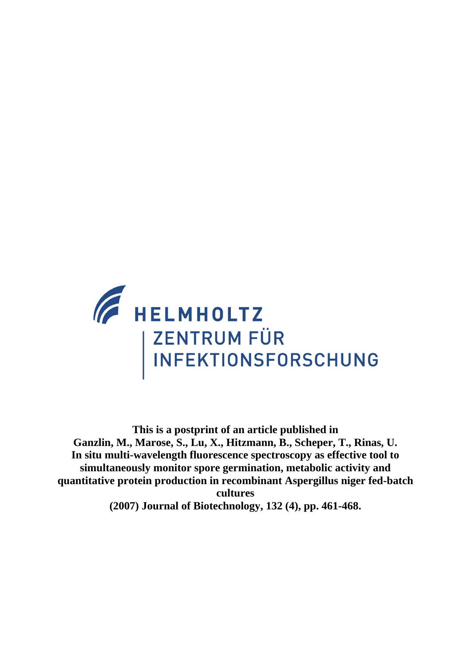

**This is a postprint of an article published in Ganzlin, M., Marose, S., Lu, X., Hitzmann, B., Scheper, T., Rinas, U. In situ multi-wavelength fluorescence spectroscopy as effective tool to simultaneously monitor spore germination, metabolic activity and quantitative protein production in recombinant Aspergillus niger fed-batch cultures (2007) Journal of Biotechnology, 132 (4), pp. 461-468.**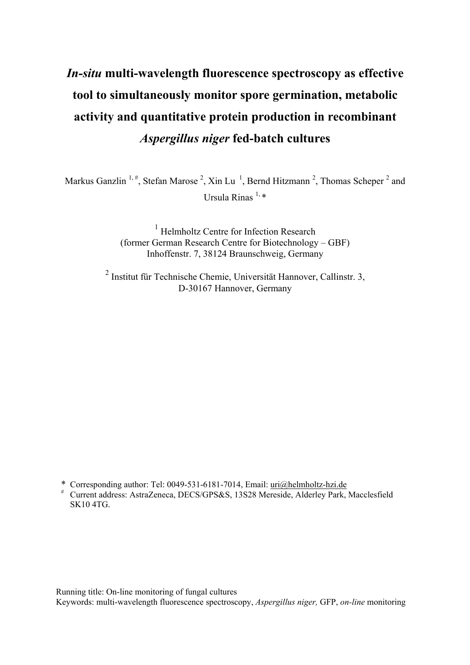# *In-situ* **multi-wavelength fluorescence spectroscopy as effective tool to simultaneously monitor spore germination, metabolic activity and quantitative protein production in recombinant**  *Aspergillus niger* **fed-batch cultures**

Markus Ganzlin<sup>1,#</sup>, Stefan Marose<sup>2</sup>, Xin Lu<sup>1</sup>, Bernd Hitzmann<sup>2</sup>, Thomas Scheper<sup>2</sup> and Ursula Rinas  $^{1, *}$ 

> <sup>1</sup> Helmholtz Centre for Infection Research (former German Research Centre for Biotechnology – GBF) Inhoffenstr. 7, 38124 Braunschweig, Germany

2 Institut für Technische Chemie, Universität Hannover, Callinstr. 3, D-30167 Hannover, Germany

\* Corresponding author: Tel: 0049-531-6181-7014, Email: uri@helmholtz-hzi.de

# Current address: AstraZeneca, DECS/GPS&S, 13S28 Mereside, Alderley Park, Macclesfield SK10 4TG.

Running title: On-line monitoring of fungal cultures Keywords: multi-wavelength fluorescence spectroscopy, *Aspergillus niger,* GFP, *on-line* monitoring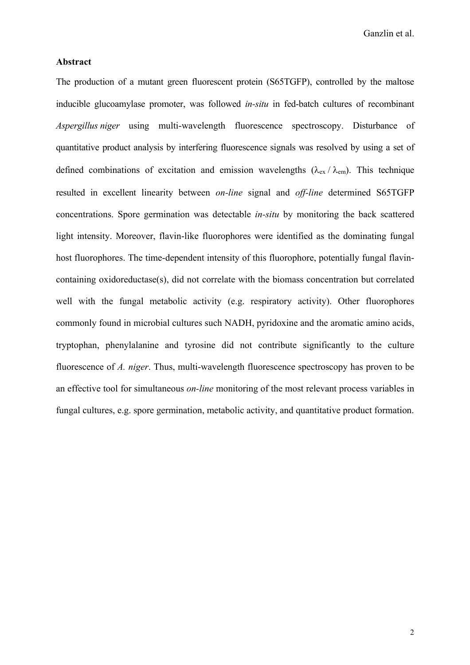# **Abstract**

The production of a mutant green fluorescent protein (S65TGFP), controlled by the maltose inducible glucoamylase promoter, was followed *in-situ* in fed-batch cultures of recombinant *Aspergillus niger* using multi-wavelength fluorescence spectroscopy. Disturbance of quantitative product analysis by interfering fluorescence signals was resolved by using a set of defined combinations of excitation and emission wavelengths ( $\lambda_{\text{ex}}/\lambda_{\text{em}}$ ). This technique resulted in excellent linearity between *on-line* signal and *off-line* determined S65TGFP concentrations. Spore germination was detectable *in-situ* by monitoring the back scattered light intensity. Moreover, flavin-like fluorophores were identified as the dominating fungal host fluorophores. The time-dependent intensity of this fluorophore, potentially fungal flavincontaining oxidoreductase(s), did not correlate with the biomass concentration but correlated well with the fungal metabolic activity (e.g. respiratory activity). Other fluorophores commonly found in microbial cultures such NADH, pyridoxine and the aromatic amino acids, tryptophan, phenylalanine and tyrosine did not contribute significantly to the culture fluorescence of *A. niger*. Thus, multi-wavelength fluorescence spectroscopy has proven to be an effective tool for simultaneous *on-line* monitoring of the most relevant process variables in fungal cultures, e.g. spore germination, metabolic activity, and quantitative product formation.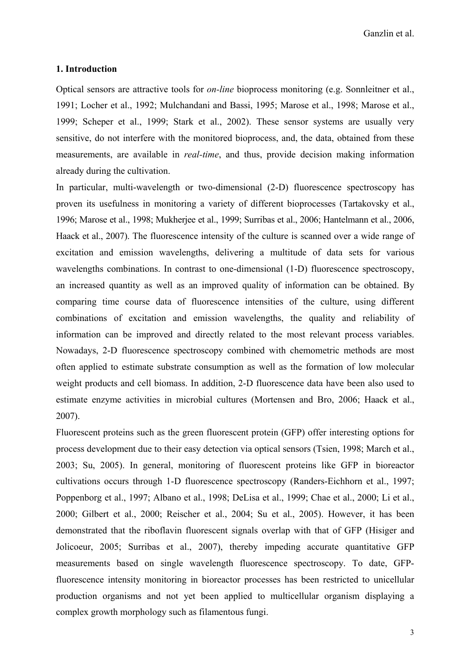## **1. Introduction**

Optical sensors are attractive tools for *on-line* bioprocess monitoring (e.g. Sonnleitner et al., 1991; Locher et al., 1992; Mulchandani and Bassi, 1995; Marose et al., 1998; Marose et al., 1999; Scheper et al., 1999; Stark et al., 2002). These sensor systems are usually very sensitive, do not interfere with the monitored bioprocess, and, the data, obtained from these measurements, are available in *real-time*, and thus, provide decision making information already during the cultivation.

In particular, multi-wavelength or two-dimensional (2-D) fluorescence spectroscopy has proven its usefulness in monitoring a variety of different bioprocesses (Tartakovsky et al., 1996; Marose et al., 1998; Mukherjee et al., 1999; Surribas et al., 2006; Hantelmann et al., 2006, Haack et al., 2007). The fluorescence intensity of the culture is scanned over a wide range of excitation and emission wavelengths, delivering a multitude of data sets for various wavelengths combinations. In contrast to one-dimensional (1-D) fluorescence spectroscopy, an increased quantity as well as an improved quality of information can be obtained. By comparing time course data of fluorescence intensities of the culture, using different combinations of excitation and emission wavelengths, the quality and reliability of information can be improved and directly related to the most relevant process variables. Nowadays, 2-D fluorescence spectroscopy combined with chemometric methods are most often applied to estimate substrate consumption as well as the formation of low molecular weight products and cell biomass. In addition, 2-D fluorescence data have been also used to estimate enzyme activities in microbial cultures (Mortensen and Bro, 2006; Haack et al., 2007).

Fluorescent proteins such as the green fluorescent protein (GFP) offer interesting options for process development due to their easy detection via optical sensors (Tsien, 1998; March et al., 2003; Su, 2005). In general, monitoring of fluorescent proteins like GFP in bioreactor cultivations occurs through 1-D fluorescence spectroscopy (Randers-Eichhorn et al., 1997; Poppenborg et al., 1997; Albano et al., 1998; DeLisa et al., 1999; Chae et al., 2000; Li et al., 2000; Gilbert et al., 2000; Reischer et al., 2004; Su et al., 2005). However, it has been demonstrated that the riboflavin fluorescent signals overlap with that of GFP (Hisiger and Jolicoeur, 2005; Surribas et al., 2007), thereby impeding accurate quantitative GFP measurements based on single wavelength fluorescence spectroscopy. To date, GFPfluorescence intensity monitoring in bioreactor processes has been restricted to unicellular production organisms and not yet been applied to multicellular organism displaying a complex growth morphology such as filamentous fungi.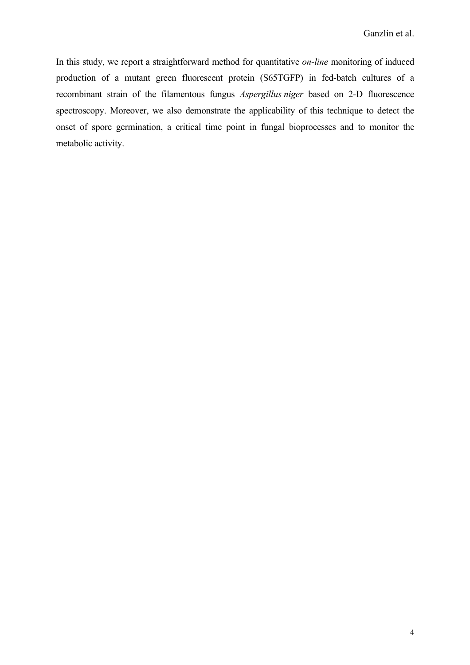In this study, we report a straightforward method for quantitative *on-line* monitoring of induced production of a mutant green fluorescent protein (S65TGFP) in fed-batch cultures of a recombinant strain of the filamentous fungus *Aspergillus niger* based on 2-D fluorescence spectroscopy. Moreover, we also demonstrate the applicability of this technique to detect the onset of spore germination, a critical time point in fungal bioprocesses and to monitor the metabolic activity.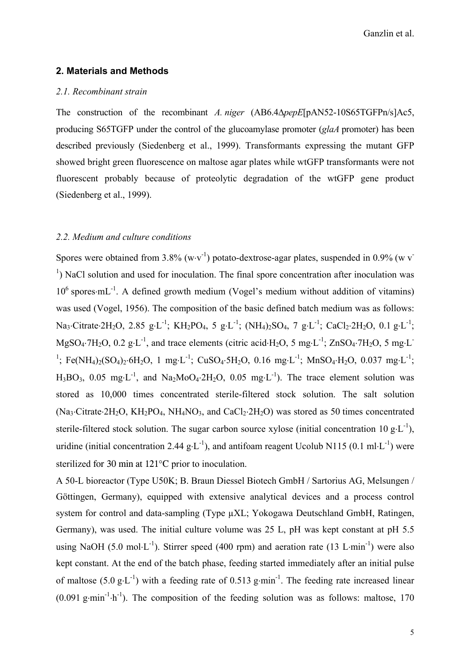# **2. Materials and Methods**

# *2.1. Recombinant strain*

The construction of the recombinant *A. niger* (AB6.4∆*pepE*[pAN52-10S65TGFPn/s]Ac5, producing S65TGFP under the control of the glucoamylase promoter (*glaA* promoter) has been described previously (Siedenberg et al., 1999). Transformants expressing the mutant GFP showed bright green fluorescence on maltose agar plates while wtGFP transformants were not fluorescent probably because of proteolytic degradation of the wtGFP gene product (Siedenberg et al., 1999).

#### *2.2. Medium and culture conditions*

Spores were obtained from 3.8% (w⋅v<sup>-1</sup>) potato-dextrose-agar plates, suspended in 0.9% (w v<sup>-1</sup>) <sup>1</sup>) NaCl solution and used for inoculation. The final spore concentration after inoculation was 10<sup>6</sup> spores⋅mL<sup>-1</sup>. A defined growth medium (Vogel's medium without addition of vitamins) was used (Vogel, 1956). The composition of the basic defined batch medium was as follows: Na3⋅Citrate⋅2H2O, 2.85 g⋅L<sup>-1</sup>; KH2PO4, 5 g⋅L<sup>-1</sup>; (NH4)2SO4, 7 g⋅L<sup>-1</sup>; CaCl2⋅2H2O, 0.1 g⋅L<sup>-1</sup>;  $MgSO<sub>4</sub>·7H<sub>2</sub>O$ , 0.2 g⋅L<sup>-1</sup>, and trace elements (citric acid⋅H<sub>2</sub>O, 5 mg⋅L<sup>-1</sup>; ZnSO<sub>4</sub>⋅7H<sub>2</sub>O, 5 mg⋅L<sup>-1</sup> <sup>1</sup>; Fe(NH<sub>4</sub>)<sub>2</sub>(SO<sub>4</sub>)<sub>2</sub>⋅6H<sub>2</sub>O, 1 mg⋅L<sup>-1</sup>; CuSO<sub>4</sub>⋅5H<sub>2</sub>O, 0.16 mg⋅L<sup>-1</sup>; MnSO<sub>4</sub>⋅H<sub>2</sub>O, 0.037 mg⋅L<sup>-1</sup>; H<sub>3</sub>BO<sub>3</sub>, 0.05 mg⋅L<sup>-1</sup>, and Na<sub>2</sub>MoO<sub>4</sub>⋅2H<sub>2</sub>O, 0.05 mg⋅L<sup>-1</sup>). The trace element solution was stored as 10,000 times concentrated sterile-filtered stock solution. The salt solution  $(Na_3 \cdot Citrate \cdot 2H_2O, KH_2PO_4, NH_4NO_3, and CaCl_2 \cdot 2H_2O)$  was stored as 50 times concentrated sterile-filtered stock solution. The sugar carbon source xylose (initial concentration 10 g⋅L<sup>-1</sup>), uridine (initial concentration 2.44  $g \cdot L^{-1}$ ), and antifoam reagent Ucolub N115 (0.1 ml⋅L<sup>-1</sup>) were sterilized for 30 min at 121°C prior to inoculation.

A 50-L bioreactor (Type U50K; B. Braun Diessel Biotech GmbH / Sartorius AG, Melsungen / Göttingen, Germany), equipped with extensive analytical devices and a process control system for control and data-sampling (Type µXL; Yokogawa Deutschland GmbH, Ratingen, Germany), was used. The initial culture volume was 25 L, pH was kept constant at pH 5.5 using NaOH (5.0 mol⋅L<sup>-1</sup>). Stirrer speed (400 rpm) and aeration rate (13 L⋅min<sup>-1</sup>) were also kept constant. At the end of the batch phase, feeding started immediately after an initial pulse of maltose (5.0 g⋅L<sup>-1</sup>) with a feeding rate of 0.513 g⋅min<sup>-1</sup>. The feeding rate increased linear  $(0.091 \text{ g-min}^{-1} \cdot h^{-1})$ . The composition of the feeding solution was as follows: maltose, 170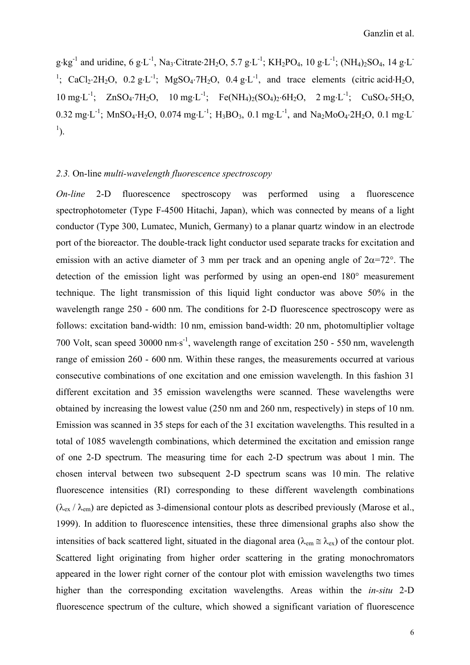g⋅kg<sup>-1</sup> and uridine, 6 g⋅L<sup>-1</sup>, Na<sub>3</sub>⋅Citrate⋅2H<sub>2</sub>O, 5.7 g⋅L<sup>-1</sup>; KH<sub>2</sub>PO<sub>4</sub>, 10 g⋅L<sup>-1</sup>; (NH<sub>4</sub>)<sub>2</sub>SO<sub>4</sub>, 14 g⋅L<sup>-</sup> <sup>1</sup>; CaCl<sub>2</sub>⋅2H<sub>2</sub>O, 0.2 g⋅L<sup>-1</sup>; MgSO<sub>4</sub>⋅7H<sub>2</sub>O, 0.4 g⋅L<sup>-1</sup>, and trace elements (citric acid⋅H<sub>2</sub>O,  $10 \text{ mg} \cdot L^{-1}$ ;  $ZnSO_4 \cdot 7H_2O$ ,  $10 \text{ mg} \cdot L^{-1}$ ;  $Fe(NH_4)_2(SO_4)_2 \cdot 6H_2O$ ,  $2 \text{ mg} \cdot L^{-1}$ ;  $CuSO_4 \cdot 5H_2O$ , 0.32 mg⋅L-1; MnSO4⋅H2O, 0.074 mg⋅L-1; H3BO3, 0.1 mg⋅L-1, and Na2MoO4⋅2H2O, 0.1 mg⋅L- $\left( \frac{1}{2} \right)$ .

# *2.3.* On-line *multi-wavelength fluorescence spectroscopy*

*On-line* 2-D fluorescence spectroscopy was performed using a fluorescence spectrophotometer (Type F-4500 Hitachi, Japan), which was connected by means of a light conductor (Type 300, Lumatec, Munich, Germany) to a planar quartz window in an electrode port of the bioreactor. The double-track light conductor used separate tracks for excitation and emission with an active diameter of 3 mm per track and an opening angle of  $2\alpha = 72^{\circ}$ . The detection of the emission light was performed by using an open-end 180° measurement technique. The light transmission of this liquid light conductor was above 50% in the wavelength range 250 - 600 nm. The conditions for 2-D fluorescence spectroscopy were as follows: excitation band-width: 10 nm, emission band-width: 20 nm, photomultiplier voltage 700 Volt, scan speed 30000 nm⋅s<sup>-1</sup>, wavelength range of excitation 250 - 550 nm, wavelength range of emission 260 - 600 nm. Within these ranges, the measurements occurred at various consecutive combinations of one excitation and one emission wavelength. In this fashion 31 different excitation and 35 emission wavelengths were scanned. These wavelengths were obtained by increasing the lowest value (250 nm and 260 nm, respectively) in steps of 10 nm. Emission was scanned in 35 steps for each of the 31 excitation wavelengths. This resulted in a total of 1085 wavelength combinations, which determined the excitation and emission range of one 2-D spectrum. The measuring time for each 2-D spectrum was about 1 min. The chosen interval between two subsequent 2-D spectrum scans was 10 min. The relative fluorescence intensities (RI) corresponding to these different wavelength combinations  $(\lambda_{\text{ex}}/\lambda_{\text{em}})$  are depicted as 3-dimensional contour plots as described previously (Marose et al., 1999). In addition to fluorescence intensities, these three dimensional graphs also show the intensities of back scattered light, situated in the diagonal area ( $\lambda_{em} \approx \lambda_{ex}$ ) of the contour plot. Scattered light originating from higher order scattering in the grating monochromators appeared in the lower right corner of the contour plot with emission wavelengths two times higher than the corresponding excitation wavelengths. Areas within the *in-situ* 2-D fluorescence spectrum of the culture, which showed a significant variation of fluorescence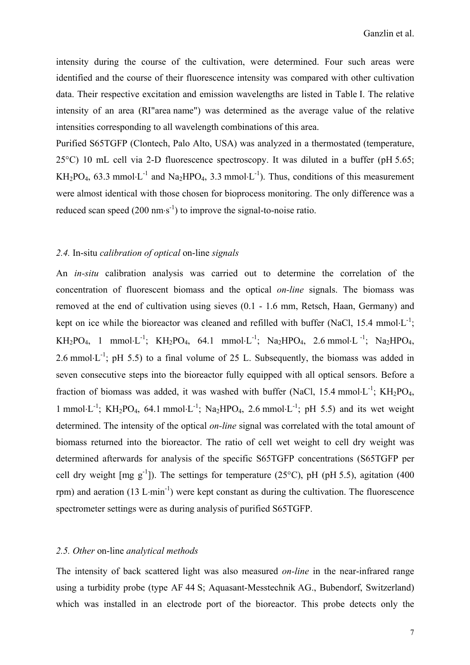intensity during the course of the cultivation, were determined. Four such areas were identified and the course of their fluorescence intensity was compared with other cultivation data. Their respective excitation and emission wavelengths are listed in Table I. The relative intensity of an area (RI"area name") was determined as the average value of the relative intensities corresponding to all wavelength combinations of this area.

Purified S65TGFP (Clontech, Palo Alto, USA) was analyzed in a thermostated (temperature, 25°C) 10 mL cell via 2-D fluorescence spectroscopy. It was diluted in a buffer (pH 5.65; KH<sub>2</sub>PO<sub>4</sub>, 63.3 mmol⋅L<sup>-1</sup> and Na<sub>2</sub>HPO<sub>4</sub>, 3.3 mmol⋅L<sup>-1</sup>). Thus, conditions of this measurement were almost identical with those chosen for bioprocess monitoring. The only difference was a reduced scan speed  $(200 \text{ nm} \cdot \text{s}^{-1})$  to improve the signal-to-noise ratio.

## *2.4.* In-situ *calibration of optical* on-line *signals*

An *in-situ* calibration analysis was carried out to determine the correlation of the concentration of fluorescent biomass and the optical *on-line* signals. The biomass was removed at the end of cultivation using sieves (0.1 - 1.6 mm, Retsch, Haan, Germany) and kept on ice while the bioreactor was cleaned and refilled with buffer (NaCl, 15.4 mmol⋅L<sup>-1</sup>; KH<sub>2</sub>PO<sub>4</sub>, 1 mmol⋅L<sup>-1</sup>; KH<sub>2</sub>PO<sub>4</sub>, 64.1 mmol⋅L<sup>-1</sup>; Na<sub>2</sub>HPO<sub>4</sub>, 2.6 mmol⋅L<sup>-1</sup>; Na<sub>2</sub>HPO<sub>4</sub>, 2.6 mmol⋅L<sup>-1</sup>; pH 5.5) to a final volume of 25 L. Subsequently, the biomass was added in seven consecutive steps into the bioreactor fully equipped with all optical sensors. Before a fraction of biomass was added, it was washed with buffer (NaCl, 15.4 mmol⋅L<sup>-1</sup>; KH<sub>2</sub>PO<sub>4</sub>, 1 mmol⋅L<sup>-1</sup>; KH<sub>2</sub>PO<sub>4</sub>, 64.1 mmol⋅L<sup>-1</sup>; Na<sub>2</sub>HPO<sub>4</sub>, 2.6 mmol⋅L<sup>-1</sup>; pH 5.5) and its wet weight determined. The intensity of the optical *on-line* signal was correlated with the total amount of biomass returned into the bioreactor. The ratio of cell wet weight to cell dry weight was determined afterwards for analysis of the specific S65TGFP concentrations (S65TGFP per cell dry weight  $[mg g^{-1}]$ ). The settings for temperature (25°C), pH (pH 5.5), agitation (400 rpm) and aeration (13 L⋅min<sup>-1</sup>) were kept constant as during the cultivation. The fluorescence spectrometer settings were as during analysis of purified S65TGFP.

# *2.5. Other* on-line *analytical methods*

The intensity of back scattered light was also measured *on-line* in the near-infrared range using a turbidity probe (type AF 44 S; Aquasant-Messtechnik AG., Bubendorf, Switzerland) which was installed in an electrode port of the bioreactor. This probe detects only the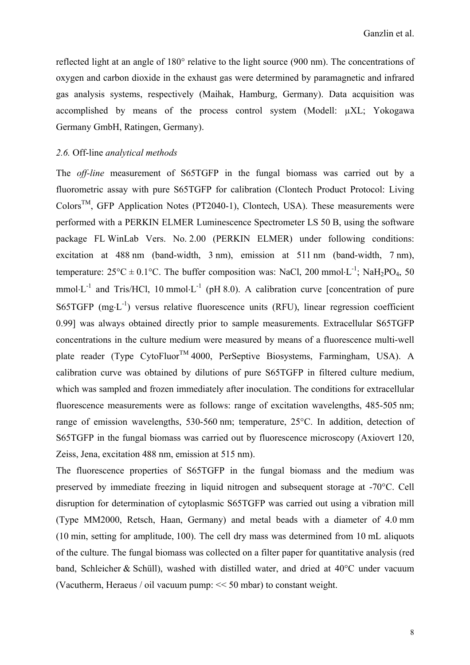reflected light at an angle of 180° relative to the light source (900 nm). The concentrations of oxygen and carbon dioxide in the exhaust gas were determined by paramagnetic and infrared gas analysis systems, respectively (Maihak, Hamburg, Germany). Data acquisition was accomplished by means of the process control system (Modell: µXL; Yokogawa Germany GmbH, Ratingen, Germany).

# *2.6.* Off-line *analytical methods*

The *off-line* measurement of S65TGFP in the fungal biomass was carried out by a fluorometric assay with pure S65TGFP for calibration (Clontech Product Protocol: Living  $\text{Colors}^{\text{TM}}$ , GFP Application Notes (PT2040-1), Clontech, USA). These measurements were performed with a PERKIN ELMER Luminescence Spectrometer LS 50 B, using the software package FL WinLab Vers. No. 2.00 (PERKIN ELMER) under following conditions: excitation at 488 nm (band-width, 3 nm), emission at 511 nm (band-width, 7 nm), temperature:  $25^{\circ}\text{C} \pm 0.1^{\circ}\text{C}$ . The buffer composition was: NaCl, 200 mmol⋅L<sup>-1</sup>; NaH<sub>2</sub>PO<sub>4</sub>, 50 mmol⋅L<sup>-1</sup> and Tris/HCl, 10 mmol⋅L<sup>-1</sup> (pH 8.0). A calibration curve [concentration of pure S65TGFP  $(mg \cdot L^{-1})$  versus relative fluorescence units (RFU), linear regression coefficient 0.99] was always obtained directly prior to sample measurements. Extracellular S65TGFP concentrations in the culture medium were measured by means of a fluorescence multi-well plate reader (Type CytoFluor<sup>TM</sup> 4000, PerSeptive Biosystems, Farmingham, USA). A calibration curve was obtained by dilutions of pure S65TGFP in filtered culture medium, which was sampled and frozen immediately after inoculation. The conditions for extracellular fluorescence measurements were as follows: range of excitation wavelengths, 485-505 nm; range of emission wavelengths, 530-560 nm; temperature, 25°C. In addition, detection of S65TGFP in the fungal biomass was carried out by fluorescence microscopy (Axiovert 120, Zeiss, Jena, excitation 488 nm, emission at 515 nm).

The fluorescence properties of S65TGFP in the fungal biomass and the medium was preserved by immediate freezing in liquid nitrogen and subsequent storage at -70°C. Cell disruption for determination of cytoplasmic S65TGFP was carried out using a vibration mill (Type MM2000, Retsch, Haan, Germany) and metal beads with a diameter of 4.0 mm (10 min, setting for amplitude, 100). The cell dry mass was determined from 10 mL aliquots of the culture. The fungal biomass was collected on a filter paper for quantitative analysis (red band, Schleicher & Schüll), washed with distilled water, and dried at 40°C under vacuum (Vacutherm, Heraeus / oil vacuum pump: << 50 mbar) to constant weight.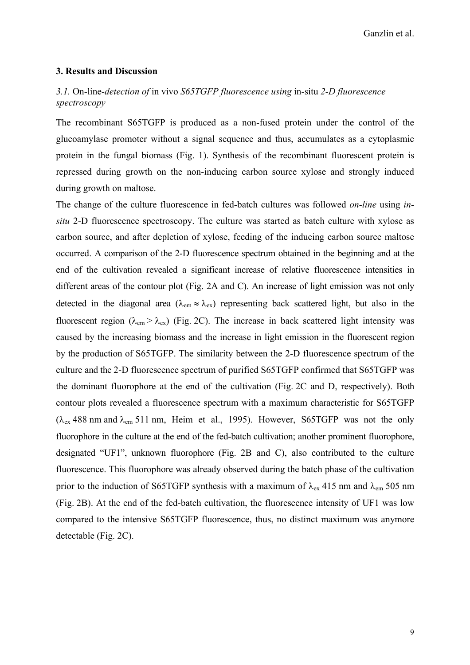# **3. Results and Discussion**

# *3.1.* On-line*-detection of* in vivo *S65TGFP fluorescence using* in-situ *2-D fluorescence spectroscopy*

The recombinant S65TGFP is produced as a non-fused protein under the control of the glucoamylase promoter without a signal sequence and thus, accumulates as a cytoplasmic protein in the fungal biomass (Fig. 1). Synthesis of the recombinant fluorescent protein is repressed during growth on the non-inducing carbon source xylose and strongly induced during growth on maltose.

The change of the culture fluorescence in fed-batch cultures was followed *on-line* using *insitu* 2-D fluorescence spectroscopy. The culture was started as batch culture with xylose as carbon source, and after depletion of xylose, feeding of the inducing carbon source maltose occurred. A comparison of the 2-D fluorescence spectrum obtained in the beginning and at the end of the cultivation revealed a significant increase of relative fluorescence intensities in different areas of the contour plot (Fig. 2A and C). An increase of light emission was not only detected in the diagonal area ( $\lambda_{em} \approx \lambda_{ex}$ ) representing back scattered light, but also in the fluorescent region ( $\lambda_{\rm em} > \lambda_{\rm ex}$ ) (Fig. 2C). The increase in back scattered light intensity was caused by the increasing biomass and the increase in light emission in the fluorescent region by the production of S65TGFP. The similarity between the 2-D fluorescence spectrum of the culture and the 2-D fluorescence spectrum of purified S65TGFP confirmed that S65TGFP was the dominant fluorophore at the end of the cultivation (Fig. 2C and D, respectively). Both contour plots revealed a fluorescence spectrum with a maximum characteristic for S65TGFP  $(\lambda_{ex}$  488 nm and  $\lambda_{em}$  511 nm, Heim et al., 1995). However, S65TGFP was not the only fluorophore in the culture at the end of the fed-batch cultivation; another prominent fluorophore, designated "UF1", unknown fluorophore (Fig. 2B and C), also contributed to the culture fluorescence. This fluorophore was already observed during the batch phase of the cultivation prior to the induction of S65TGFP synthesis with a maximum of  $\lambda_{ex}$  415 nm and  $\lambda_{em}$  505 nm (Fig. 2B). At the end of the fed-batch cultivation, the fluorescence intensity of UF1 was low compared to the intensive S65TGFP fluorescence, thus, no distinct maximum was anymore detectable (Fig. 2C).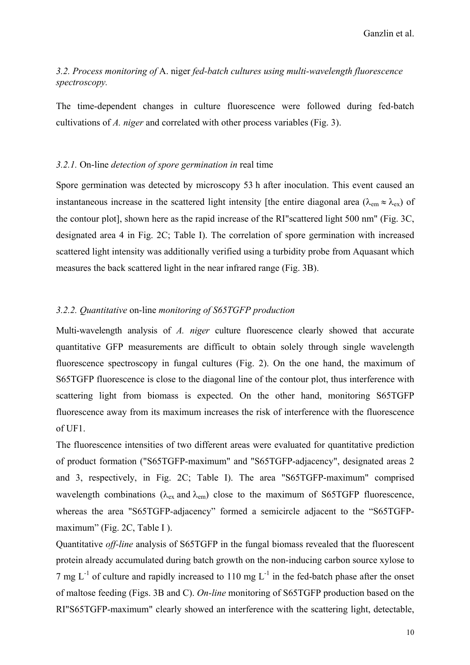# *3.2. Process monitoring of* A. niger *fed-batch cultures using multi-wavelength fluorescence spectroscopy.*

The time-dependent changes in culture fluorescence were followed during fed-batch cultivations of *A. niger* and correlated with other process variables (Fig. 3).

## *3.2.1.* On-line *detection of spore germination in* real time

Spore germination was detected by microscopy 53 h after inoculation. This event caused an instantaneous increase in the scattered light intensity [the entire diagonal area ( $\lambda_{em} \approx \lambda_{ex}$ ) of the contour plot], shown here as the rapid increase of the RI"scattered light 500 nm" (Fig. 3C, designated area 4 in Fig. 2C; Table I). The correlation of spore germination with increased scattered light intensity was additionally verified using a turbidity probe from Aquasant which measures the back scattered light in the near infrared range (Fig. 3B).

# *3.2.2. Quantitative* on-line *monitoring of S65TGFP production*

Multi-wavelength analysis of *A. niger* culture fluorescence clearly showed that accurate quantitative GFP measurements are difficult to obtain solely through single wavelength fluorescence spectroscopy in fungal cultures (Fig. 2). On the one hand, the maximum of S65TGFP fluorescence is close to the diagonal line of the contour plot, thus interference with scattering light from biomass is expected. On the other hand, monitoring S65TGFP fluorescence away from its maximum increases the risk of interference with the fluorescence of UF1.

The fluorescence intensities of two different areas were evaluated for quantitative prediction of product formation ("S65TGFP-maximum" and "S65TGFP-adjacency", designated areas 2 and 3, respectively, in Fig. 2C; Table I). The area "S65TGFP-maximum" comprised wavelength combinations ( $\lambda_{\rm ex}$  and  $\lambda_{\rm em}$ ) close to the maximum of S65TGFP fluorescence, whereas the area "S65TGFP-adjacency" formed a semicircle adjacent to the "S65TGFPmaximum" (Fig. 2C, Table I).

Quantitative *off-line* analysis of S65TGFP in the fungal biomass revealed that the fluorescent protein already accumulated during batch growth on the non-inducing carbon source xylose to 7 mg  $L^{-1}$  of culture and rapidly increased to 110 mg  $L^{-1}$  in the fed-batch phase after the onset of maltose feeding (Figs. 3B and C). *On-line* monitoring of S65TGFP production based on the RI"S65TGFP-maximum" clearly showed an interference with the scattering light, detectable,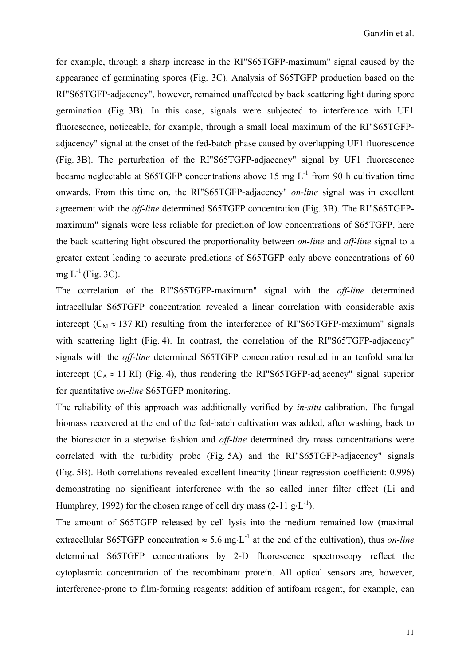for example, through a sharp increase in the RI"S65TGFP-maximum" signal caused by the appearance of germinating spores (Fig. 3C). Analysis of S65TGFP production based on the RI"S65TGFP-adjacency", however, remained unaffected by back scattering light during spore germination (Fig. 3B). In this case, signals were subjected to interference with UF1 fluorescence, noticeable, for example, through a small local maximum of the RI"S65TGFPadjacency" signal at the onset of the fed-batch phase caused by overlapping UF1 fluorescence (Fig. 3B). The perturbation of the RI"S65TGFP-adjacency" signal by UF1 fluorescence became neglectable at S65TGFP concentrations above 15 mg  $L^{-1}$  from 90 h cultivation time onwards. From this time on, the RI"S65TGFP-adjacency" *on-line* signal was in excellent agreement with the *off-line* determined S65TGFP concentration (Fig. 3B). The RI"S65TGFPmaximum" signals were less reliable for prediction of low concentrations of S65TGFP, here the back scattering light obscured the proportionality between *on-line* and *off-line* signal to a greater extent leading to accurate predictions of S65TGFP only above concentrations of 60 mg  $L^{-1}$  (Fig. 3C).

The correlation of the RI"S65TGFP-maximum" signal with the *off-line* determined intracellular S65TGFP concentration revealed a linear correlation with considerable axis intercept ( $C_M \approx 137$  RI) resulting from the interference of RI"S65TGFP-maximum" signals with scattering light (Fig. 4). In contrast, the correlation of the RI"S65TGFP-adjacency" signals with the *off-line* determined S65TGFP concentration resulted in an tenfold smaller intercept  $(C_A \approx 11 \text{ RI})$  (Fig. 4), thus rendering the RI"S65TGFP-adjacency" signal superior for quantitative *on-line* S65TGFP monitoring.

The reliability of this approach was additionally verified by *in*-*situ* calibration. The fungal biomass recovered at the end of the fed-batch cultivation was added, after washing, back to the bioreactor in a stepwise fashion and *off-line* determined dry mass concentrations were correlated with the turbidity probe (Fig. 5A) and the RI"S65TGFP-adjacency" signals (Fig. 5B). Both correlations revealed excellent linearity (linear regression coefficient: 0.996) demonstrating no significant interference with the so called inner filter effect (Li and Humphrey, 1992) for the chosen range of cell dry mass  $(2-11 \text{ g} \cdot \text{L}^{-1})$ .

The amount of S65TGFP released by cell lysis into the medium remained low (maximal extracellular S65TGFP concentration  $\approx 5.6$  mg⋅L<sup>-1</sup> at the end of the cultivation), thus *on-line* determined S65TGFP concentrations by 2-D fluorescence spectroscopy reflect the cytoplasmic concentration of the recombinant protein. All optical sensors are, however, interference-prone to film-forming reagents; addition of antifoam reagent, for example, can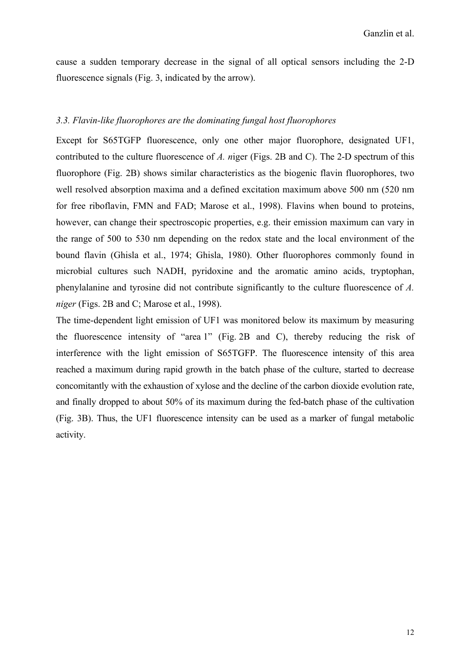cause a sudden temporary decrease in the signal of all optical sensors including the 2-D fluorescence signals (Fig. 3, indicated by the arrow).

## *3.3. Flavin-like fluorophores are the dominating fungal host fluorophores*

Except for S65TGFP fluorescence, only one other major fluorophore, designated UF1, contributed to the culture fluorescence of *A. n*iger (Figs. 2B and C). The 2-D spectrum of this fluorophore (Fig. 2B) shows similar characteristics as the biogenic flavin fluorophores, two well resolved absorption maxima and a defined excitation maximum above 500 nm (520 nm for free riboflavin, FMN and FAD; Marose et al., 1998). Flavins when bound to proteins, however, can change their spectroscopic properties, e.g. their emission maximum can vary in the range of 500 to 530 nm depending on the redox state and the local environment of the bound flavin (Ghisla et al., 1974; Ghisla, 1980). Other fluorophores commonly found in microbial cultures such NADH, pyridoxine and the aromatic amino acids, tryptophan, phenylalanine and tyrosine did not contribute significantly to the culture fluorescence of *A. niger* (Figs. 2B and C; Marose et al., 1998).

The time-dependent light emission of UF1 was monitored below its maximum by measuring the fluorescence intensity of "area 1" (Fig. 2B and C), thereby reducing the risk of interference with the light emission of S65TGFP. The fluorescence intensity of this area reached a maximum during rapid growth in the batch phase of the culture, started to decrease concomitantly with the exhaustion of xylose and the decline of the carbon dioxide evolution rate, and finally dropped to about 50% of its maximum during the fed-batch phase of the cultivation (Fig. 3B). Thus, the UF1 fluorescence intensity can be used as a marker of fungal metabolic activity.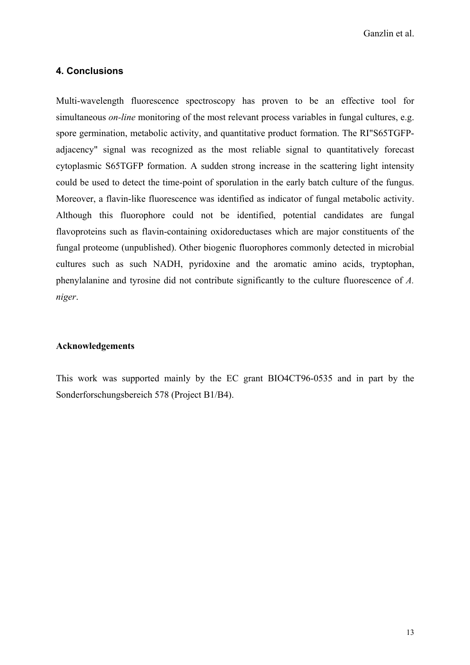# **4. Conclusions**

Multi-wavelength fluorescence spectroscopy has proven to be an effective tool for simultaneous *on-line* monitoring of the most relevant process variables in fungal cultures, e.g. spore germination, metabolic activity, and quantitative product formation. The RI"S65TGFPadjacency" signal was recognized as the most reliable signal to quantitatively forecast cytoplasmic S65TGFP formation. A sudden strong increase in the scattering light intensity could be used to detect the time-point of sporulation in the early batch culture of the fungus. Moreover, a flavin-like fluorescence was identified as indicator of fungal metabolic activity. Although this fluorophore could not be identified, potential candidates are fungal flavoproteins such as flavin-containing oxidoreductases which are major constituents of the fungal proteome (unpublished). Other biogenic fluorophores commonly detected in microbial cultures such as such NADH, pyridoxine and the aromatic amino acids, tryptophan, phenylalanine and tyrosine did not contribute significantly to the culture fluorescence of *A. niger*.

# **Acknowledgements**

This work was supported mainly by the EC grant BIO4CT96-0535 and in part by the Sonderforschungsbereich 578 (Project B1/B4).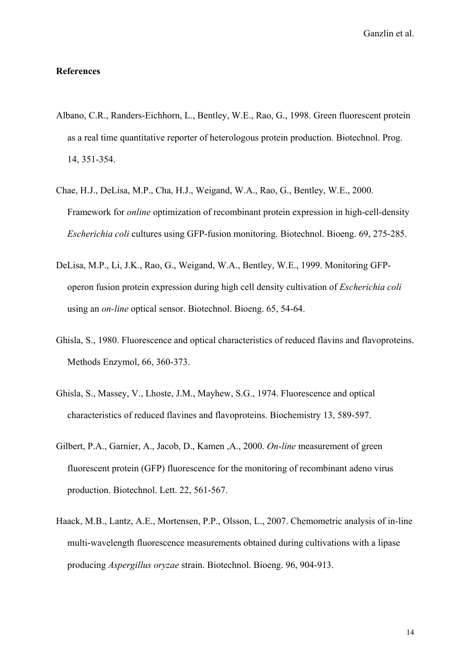## **References**

- Albano, C.R., Randers-Eichhorn, L., Bentley, W.E., Rao, G., 1998. Green fluorescent protein as a real time quantitative reporter of heterologous protein production. Biotechnol. Prog. 14, 351-354.
- Chae, H.J., DeLisa, M.P., Cha, H.J., Weigand, W.A., Rao, G., Bentley, W.E., 2000. Framework for *online* optimization of recombinant protein expression in high-cell-density *Escherichia coli* cultures using GFP-fusion monitoring. Biotechnol. Bioeng. 69, 275-285.
- DeLisa, M.P., Li, J.K., Rao, G., Weigand, W.A., Bentley, W.E., 1999. Monitoring GFPoperon fusion protein expression during high cell density cultivation of *Escherichia coli* using an *on-line* optical sensor. Biotechnol. Bioeng. 65, 54-64.
- Ghisla, S., 1980. Fluorescence and optical characteristics of reduced flavins and flavoproteins. Methods Enzymol, 66, 360-373.
- Ghisla, S., Massey, V., Lhoste, J.M., Mayhew, S.G., 1974. Fluorescence and optical characteristics of reduced flavines and flavoproteins. Biochemistry 13, 589-597.
- Gilbert, P.A., Garnier, A., Jacob, D., Kamen ,A., 2000. *On-line* measurement of green fluorescent protein (GFP) fluorescence for the monitoring of recombinant adeno virus production. Biotechnol. Lett. 22, 561-567.
- Haack, M.B., Lantz, A.E., Mortensen, P.P., Olsson, L., 2007. Chemometric analysis of in-line multi-wavelength fluorescence measurements obtained during cultivations with a lipase producing *Aspergillus oryzae* strain. Biotechnol. Bioeng. 96, 904-913.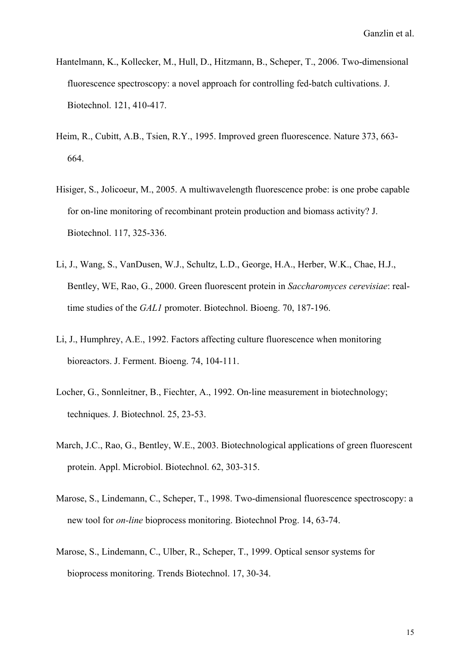- Hantelmann, K., Kollecker, M., Hull, D., Hitzmann, B., Scheper, T., 2006. Two-dimensional fluorescence spectroscopy: a novel approach for controlling fed-batch cultivations. J. Biotechnol. 121, 410-417.
- Heim, R., Cubitt, A.B., Tsien, R.Y., 1995. Improved green fluorescence. Nature 373, 663- 664.
- Hisiger, S., Jolicoeur, M., 2005. A multiwavelength fluorescence probe: is one probe capable for on-line monitoring of recombinant protein production and biomass activity? J. Biotechnol. 117, 325-336.
- Li, J., Wang, S., VanDusen, W.J., Schultz, L.D., George, H.A., Herber, W.K., Chae, H.J., Bentley, WE, Rao, G., 2000. Green fluorescent protein in *Saccharomyces cerevisiae*: realtime studies of the *GAL1* promoter. Biotechnol. Bioeng. 70, 187-196.
- Li, J., Humphrey, A.E., 1992. Factors affecting culture fluorescence when monitoring bioreactors. J. Ferment. Bioeng. 74, 104-111.
- Locher, G., Sonnleitner, B., Fiechter, A., 1992. On-line measurement in biotechnology; techniques. J. Biotechnol. 25, 23-53.
- March, J.C., Rao, G., Bentley, W.E., 2003. Biotechnological applications of green fluorescent protein. Appl. Microbiol. Biotechnol. 62, 303-315.
- Marose, S., Lindemann, C., Scheper, T., 1998. Two-dimensional fluorescence spectroscopy: a new tool for *on-line* bioprocess monitoring. Biotechnol Prog. 14, 63-74.
- Marose, S., Lindemann, C., Ulber, R., Scheper, T., 1999. Optical sensor systems for bioprocess monitoring. Trends Biotechnol. 17, 30-34.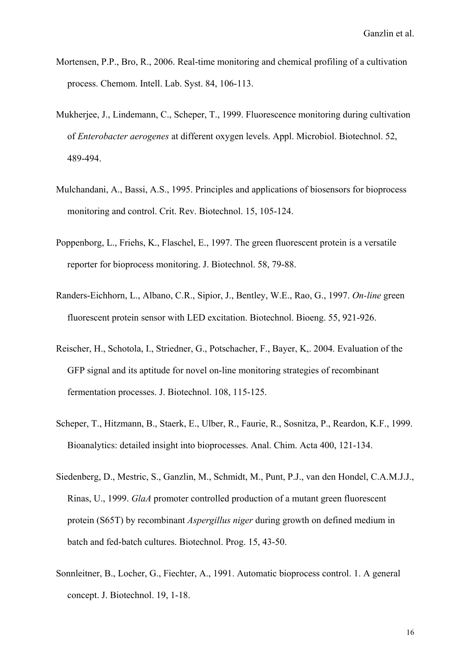- Mortensen, P.P., Bro, R., 2006. Real-time monitoring and chemical profiling of a cultivation process. Chemom. Intell. Lab. Syst. 84, 106-113.
- Mukherjee, J., Lindemann, C., Scheper, T., 1999. Fluorescence monitoring during cultivation of *Enterobacter aerogenes* at different oxygen levels. Appl. Microbiol. Biotechnol. 52, 489-494.
- Mulchandani, A., Bassi, A.S., 1995. Principles and applications of biosensors for bioprocess monitoring and control. Crit. Rev. Biotechnol. 15, 105-124.
- Poppenborg, L., Friehs, K., Flaschel, E., 1997. The green fluorescent protein is a versatile reporter for bioprocess monitoring. J. Biotechnol. 58, 79-88.
- Randers-Eichhorn, L., Albano, C.R., Sipior, J., Bentley, W.E., Rao, G., 1997. *On-line* green fluorescent protein sensor with LED excitation. Biotechnol. Bioeng. 55, 921-926.
- Reischer, H., Schotola, I., Striedner, G., Potschacher, F., Bayer, K,. 2004. Evaluation of the GFP signal and its aptitude for novel on-line monitoring strategies of recombinant fermentation processes. J. Biotechnol. 108, 115-125.
- Scheper, T., Hitzmann, B., Staerk, E., Ulber, R., Faurie, R., Sosnitza, P., Reardon, K.F., 1999. Bioanalytics: detailed insight into bioprocesses. Anal. Chim. Acta 400, 121-134.
- Siedenberg, D., Mestric, S., Ganzlin, M., Schmidt, M., Punt, P.J., van den Hondel, C.A.M.J.J., Rinas, U., 1999. *GlaA* promoter controlled production of a mutant green fluorescent protein (S65T) by recombinant *Aspergillus niger* during growth on defined medium in batch and fed-batch cultures. Biotechnol. Prog. 15, 43-50.
- Sonnleitner, B., Locher, G., Fiechter, A., 1991. Automatic bioprocess control. 1. A general concept. J. Biotechnol. 19, 1-18.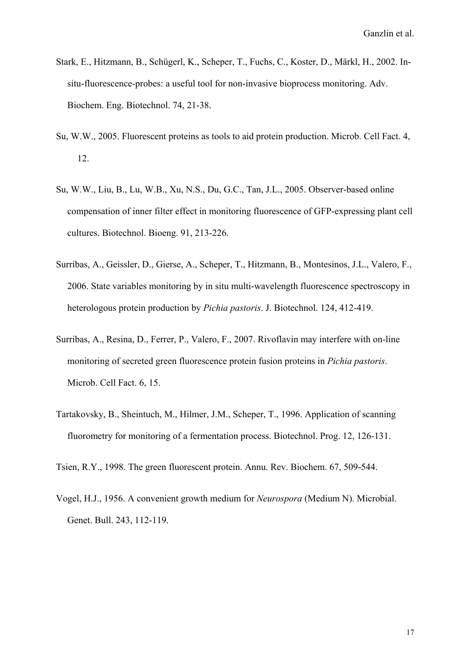- Stark, E., Hitzmann, B., Schügerl, K., Scheper, T., Fuchs, C., Koster, D., Märkl, H., 2002. Insitu-fluorescence-probes: a useful tool for non-invasive bioprocess monitoring. Adv. Biochem. Eng. Biotechnol. 74, 21-38.
- Su, W.W., 2005. Fluorescent proteins as tools to aid protein production. Microb. Cell Fact. 4, 12.
- Su, W.W., Liu, B., Lu, W.B., Xu, N.S., Du, G.C., Tan, J.L., 2005. Observer-based online compensation of inner filter effect in monitoring fluorescence of GFP-expressing plant cell cultures. Biotechnol. Bioeng. 91, 213-226.
- Surribas, A., Geissler, D., Gierse, A., Scheper, T., Hitzmann, B., Montesinos, J.L., Valero, F., 2006. State variables monitoring by in situ multi-wavelength fluorescence spectroscopy in heterologous protein production by *Pichia pastoris*. J. Biotechnol. 124, 412-419.
- Surribas, A., Resina, D., Ferrer, P., Valero, F., 2007. Rivoflavin may interfere with on-line monitoring of secreted green fluorescence protein fusion proteins in *Pichia pastoris*. Microb. Cell Fact. 6, 15.
- Tartakovsky, B., Sheintuch, M., Hilmer, J.M., Scheper, T., 1996. Application of scanning fluorometry for monitoring of a fermentation process. Biotechnol. Prog. 12, 126-131.
- Tsien, R.Y., 1998. The green fluorescent protein. Annu. Rev. Biochem. 67, 509-544.
- Vogel, H.J., 1956. A convenient growth medium for *Neurospora* (Medium N). Microbial. Genet. Bull. 243, 112-119.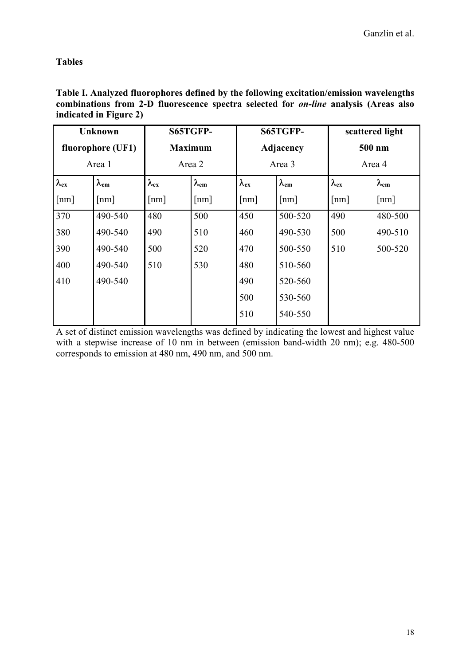**Tables** 

| <b>Unknown</b>     |                    | S65TGFP-       |                    | S65TGFP-       |                    | scattered light |                    |
|--------------------|--------------------|----------------|--------------------|----------------|--------------------|-----------------|--------------------|
| fluorophore (UF1)  |                    | <b>Maximum</b> |                    | Adjacency      |                    | 500 nm          |                    |
| Area 1             |                    | Area 2         |                    | Area 3         |                    | Area 4          |                    |
| $\lambda_{ex}$     | $\lambda_{\rm em}$ | $\lambda_{ex}$ | $\lambda_{\rm em}$ | $\lambda_{ex}$ | $\lambda_{\rm em}$ | $\lambda_{ex}$  | $\lambda_{\rm em}$ |
| $\lceil nm \rceil$ | ${\rm [nm]}$       | ${\rm [nm]}$   | $\lceil nm \rceil$ | ${\rm [nm]}$   | ${\rm [nm]}$       | ${\rm [nm]}$    | ${\rm [nm]}$       |
| 370                | 490-540            | 480            | 500                | 450            | 500-520            | 490             | 480-500            |
| 380                | 490-540            | 490            | 510                | 460            | 490-530            | 500             | 490-510            |
| 390                | 490-540            | 500            | 520                | 470            | 500-550            | 510             | 500-520            |
| 400                | 490-540            | 510            | 530                | 480            | 510-560            |                 |                    |
| 410                | 490-540            |                |                    | 490            | 520-560            |                 |                    |
|                    |                    |                |                    | 500            | 530-560            |                 |                    |
|                    |                    |                |                    | 510            | 540-550            |                 |                    |

**Table I. Analyzed fluorophores defined by the following excitation/emission wavelengths combinations from 2-D fluorescence spectra selected for** *on-line* **analysis (Areas also indicated in Figure 2)** 

A set of distinct emission wavelengths was defined by indicating the lowest and highest value with a stepwise increase of 10 nm in between (emission band-width 20 nm); e.g. 480-500 corresponds to emission at 480 nm, 490 nm, and 500 nm.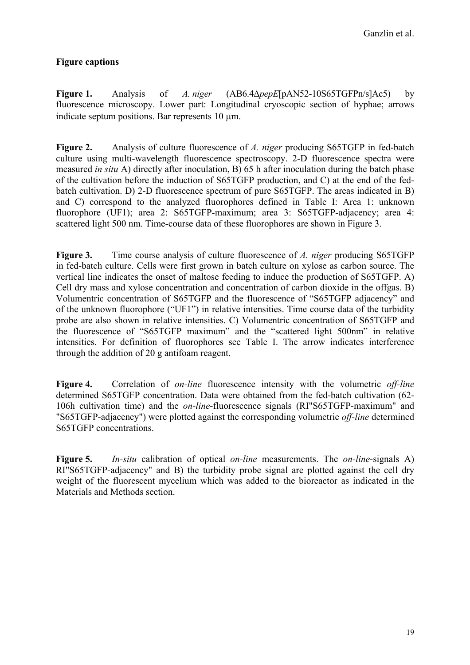# **Figure captions**

**Figure 1.** Analysis of *A. niger* (AB6.4∆*pepE*[pAN52-10S65TGFPn/s]Ac5) by fluorescence microscopy. Lower part: Longitudinal cryoscopic section of hyphae; arrows indicate septum positions. Bar represents 10 um.

**Figure 2.** Analysis of culture fluorescence of *A. niger* producing S65TGFP in fed-batch culture using multi-wavelength fluorescence spectroscopy. 2-D fluorescence spectra were measured *in situ* A) directly after inoculation, B) 65 h after inoculation during the batch phase of the cultivation before the induction of S65TGFP production, and C) at the end of the fedbatch cultivation. D) 2-D fluorescence spectrum of pure S65TGFP. The areas indicated in B) and C) correspond to the analyzed fluorophores defined in Table I: Area 1: unknown fluorophore (UF1); area 2: S65TGFP-maximum; area 3: S65TGFP-adjacency; area 4: scattered light 500 nm. Time-course data of these fluorophores are shown in Figure 3.

**Figure 3.** Time course analysis of culture fluorescence of *A. niger* producing S65TGFP in fed-batch culture. Cells were first grown in batch culture on xylose as carbon source. The vertical line indicates the onset of maltose feeding to induce the production of S65TGFP. A) Cell dry mass and xylose concentration and concentration of carbon dioxide in the offgas. B) Volumentric concentration of S65TGFP and the fluorescence of "S65TGFP adjacency" and of the unknown fluorophore ("UF1") in relative intensities. Time course data of the turbidity probe are also shown in relative intensities. C) Volumentric concentration of S65TGFP and the fluorescence of "S65TGFP maximum" and the "scattered light 500nm" in relative intensities. For definition of fluorophores see Table I. The arrow indicates interference through the addition of 20 g antifoam reagent.

**Figure 4.** Correlation of *on-line* fluorescence intensity with the volumetric *off-line* determined S65TGFP concentration. Data were obtained from the fed-batch cultivation (62- 106h cultivation time) and the *on-line*-fluorescence signals (RI"S65TGFP-maximum" and "S65TGFP-adjacency") were plotted against the corresponding volumetric *off-line* determined S65TGFP concentrations.

**Figure 5.** *In-situ* calibration of optical *on-line* measurements. The *on-line*-signals A) RI"S65TGFP-adjacency" and B) the turbidity probe signal are plotted against the cell dry weight of the fluorescent mycelium which was added to the bioreactor as indicated in the Materials and Methods section.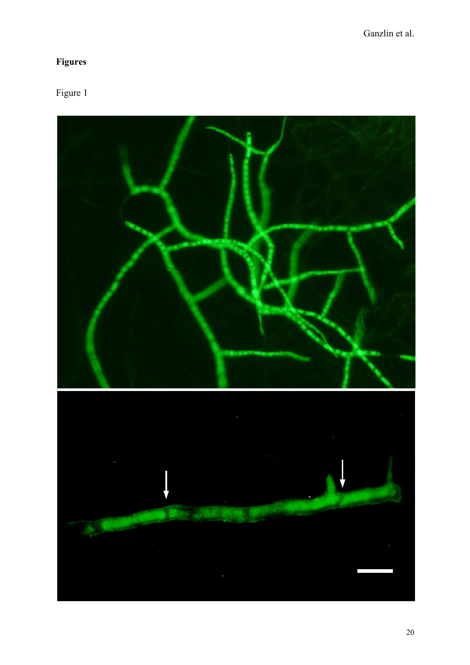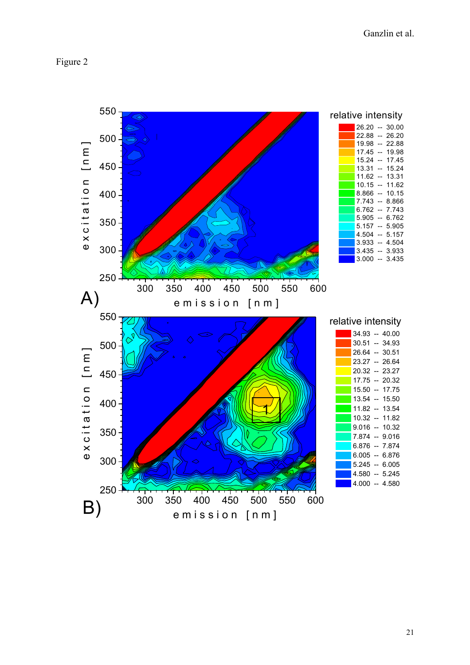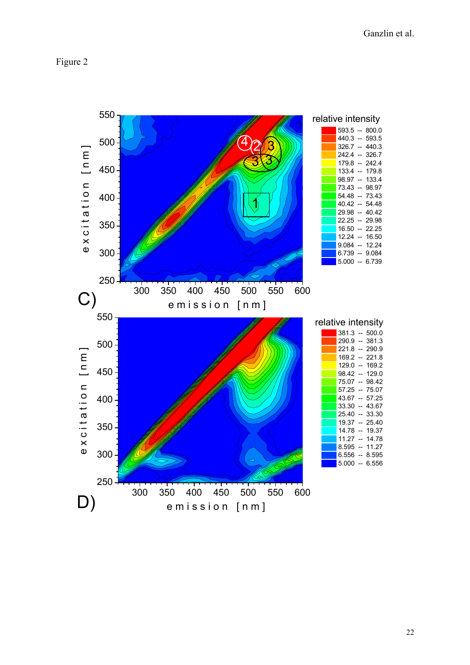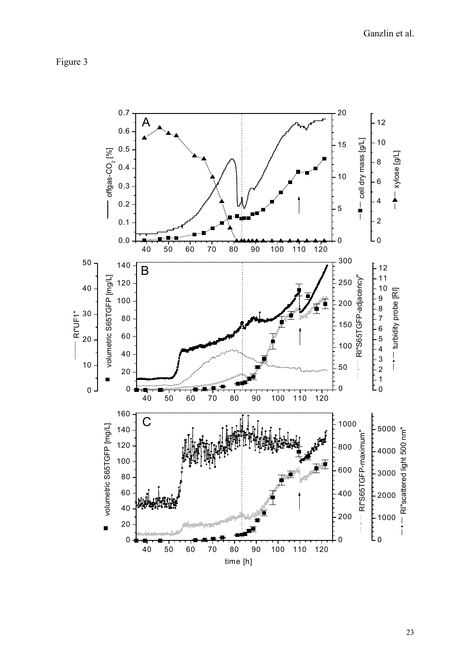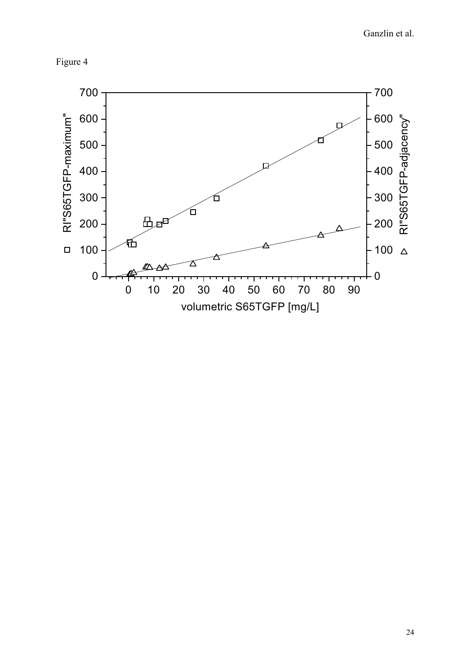